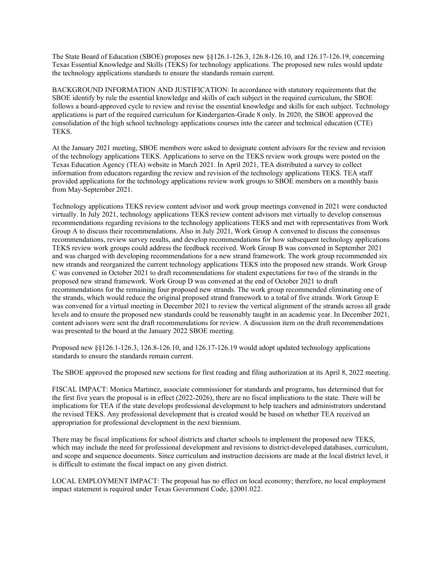The State Board of Education (SBOE) proposes new §§126.1-126.3, 126.8-126.10, and 126.17-126.19, concerning Texas Essential Knowledge and Skills (TEKS) for technology applications. The proposed new rules would update the technology applications standards to ensure the standards remain current.

BACKGROUND INFORMATION AND JUSTIFICATION: In accordance with statutory requirements that the SBOE identify by rule the essential knowledge and skills of each subject in the required curriculum, the SBOE follows a board-approved cycle to review and revise the essential knowledge and skills for each subject. Technology applications is part of the required curriculum for Kindergarten-Grade 8 only. In 2020, the SBOE approved the consolidation of the high school technology applications courses into the career and technical education (CTE) TEKS.

At the January 2021 meeting, SBOE members were asked to designate content advisors for the review and revision of the technology applications TEKS. Applications to serve on the TEKS review work groups were posted on the Texas Education Agency (TEA) website in March 2021. In April 2021, TEA distributed a survey to collect information from educators regarding the review and revision of the technology applications TEKS. TEA staff provided applications for the technology applications review work groups to SBOE members on a monthly basis from May-September 2021.

Technology applications TEKS review content advisor and work group meetings convened in 2021 were conducted virtually. In July 2021, technology applications TEKS review content advisors met virtually to develop consensus recommendations regarding revisions to the technology applications TEKS and met with representatives from Work Group A to discuss their recommendations. Also in July 2021, Work Group A convened to discuss the consensus recommendations, review survey results, and develop recommendations for how subsequent technology applications TEKS review work groups could address the feedback received. Work Group B was convened in September 2021 and was charged with developing recommendations for a new strand framework. The work group recommended six new strands and reorganized the current technology applications TEKS into the proposed new strands. Work Group C was convened in October 2021 to draft recommendations for student expectations for two of the strands in the proposed new strand framework. Work Group D was convened at the end of October 2021 to draft recommendations for the remaining four proposed new strands. The work group recommended eliminating one of the strands, which would reduce the original proposed strand framework to a total of five strands. Work Group E was convened for a virtual meeting in December 2021 to review the vertical alignment of the strands across all grade levels and to ensure the proposed new standards could be reasonably taught in an academic year. In December 2021, content advisors were sent the draft recommendations for review. A discussion item on the draft recommendations was presented to the board at the January 2022 SBOE meeting.

Proposed new §§126.1-126.3, 126.8-126.10, and 126.17-126.19 would adopt updated technology applications standards to ensure the standards remain current.

The SBOE approved the proposed new sections for first reading and filing authorization at its April 8, 2022 meeting.

FISCAL IMPACT: Monica Martinez, associate commissioner for standards and programs, has determined that for the first five years the proposal is in effect (2022-2026), there are no fiscal implications to the state. There will be implications for TEA if the state develops professional development to help teachers and administrators understand the revised TEKS. Any professional development that is created would be based on whether TEA received an appropriation for professional development in the next biennium.

There may be fiscal implications for school districts and charter schools to implement the proposed new TEKS, which may include the need for professional development and revisions to district-developed databases, curriculum, and scope and sequence documents. Since curriculum and instruction decisions are made at the local district level, it is difficult to estimate the fiscal impact on any given district.

LOCAL EMPLOYMENT IMPACT: The proposal has no effect on local economy; therefore, no local employment impact statement is required under Texas Government Code, §2001.022.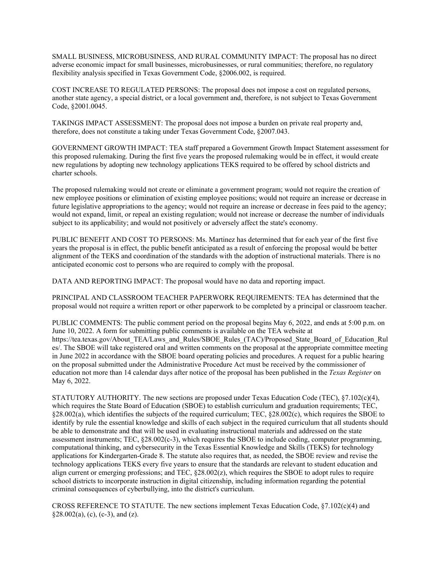SMALL BUSINESS, MICROBUSINESS, AND RURAL COMMUNITY IMPACT: The proposal has no direct adverse economic impact for small businesses, microbusinesses, or rural communities; therefore, no regulatory flexibility analysis specified in Texas Government Code, §2006.002, is required.

COST INCREASE TO REGULATED PERSONS: The proposal does not impose a cost on regulated persons, another state agency, a special district, or a local government and, therefore, is not subject to Texas Government Code, §2001.0045.

TAKINGS IMPACT ASSESSMENT: The proposal does not impose a burden on private real property and, therefore, does not constitute a taking under Texas Government Code, §2007.043.

GOVERNMENT GROWTH IMPACT: TEA staff prepared a Government Growth Impact Statement assessment for this proposed rulemaking. During the first five years the proposed rulemaking would be in effect, it would create new regulations by adopting new technology applications TEKS required to be offered by school districts and charter schools.

The proposed rulemaking would not create or eliminate a government program; would not require the creation of new employee positions or elimination of existing employee positions; would not require an increase or decrease in future legislative appropriations to the agency; would not require an increase or decrease in fees paid to the agency; would not expand, limit, or repeal an existing regulation; would not increase or decrease the number of individuals subject to its applicability; and would not positively or adversely affect the state's economy.

PUBLIC BENEFIT AND COST TO PERSONS: Ms. Martinez has determined that for each year of the first five years the proposal is in effect, the public benefit anticipated as a result of enforcing the proposal would be better alignment of the TEKS and coordination of the standards with the adoption of instructional materials. There is no anticipated economic cost to persons who are required to comply with the proposal.

DATA AND REPORTING IMPACT: The proposal would have no data and reporting impact.

PRINCIPAL AND CLASSROOM TEACHER PAPERWORK REQUIREMENTS: TEA has determined that the proposal would not require a written report or other paperwork to be completed by a principal or classroom teacher.

PUBLIC COMMENTS: The public comment period on the proposal begins May 6, 2022, and ends at 5:00 p.m. on June 10, 2022. A form for submitting public comments is available on the TEA website at https://tea.texas.gov/About\_TEA/Laws\_and\_Rules/SBOE\_Rules (TAC)/Proposed\_State\_Board\_of\_Education\_Rul es/. The SBOE will take registered oral and written comments on the proposal at the appropriate committee meeting in June 2022 in accordance with the SBOE board operating policies and procedures. A request for a public hearing on the proposal submitted under the Administrative Procedure Act must be received by the commissioner of education not more than 14 calendar days after notice of the proposal has been published in the *Texas Register* on May 6, 2022.

STATUTORY AUTHORITY. The new sections are proposed under Texas Education Code (TEC), §7.102(c)(4), which requires the State Board of Education (SBOE) to establish curriculum and graduation requirements; TEC, §28.002(a), which identifies the subjects of the required curriculum; TEC, §28.002(c), which requires the SBOE to identify by rule the essential knowledge and skills of each subject in the required curriculum that all students should be able to demonstrate and that will be used in evaluating instructional materials and addressed on the state assessment instruments; TEC, §28.002(c-3), which requires the SBOE to include coding, computer programming, computational thinking, and cybersecurity in the Texas Essential Knowledge and Skills (TEKS) for technology applications for Kindergarten-Grade 8. The statute also requires that, as needed, the SBOE review and revise the technology applications TEKS every five years to ensure that the standards are relevant to student education and align current or emerging professions; and TEC, §28.002(z), which requires the SBOE to adopt rules to require school districts to incorporate instruction in digital citizenship, including information regarding the potential criminal consequences of cyberbullying, into the district's curriculum.

CROSS REFERENCE TO STATUTE. The new sections implement Texas Education Code,  $\S7.102(c)(4)$  and  $§28.002(a), (c), (c-3), and (z).$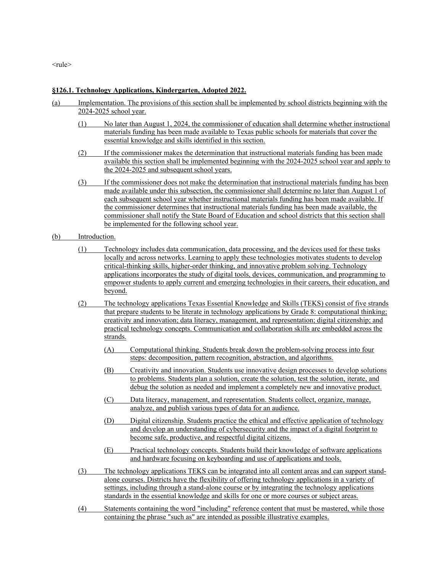<rule>

### **§126.1. Technology Applications, Kindergarten, Adopted 2022.**

- (a) Implementation. The provisions of this section shall be implemented by school districts beginning with the 2024-2025 school year.
	- (1) No later than August 1, 2024, the commissioner of education shall determine whether instructional materials funding has been made available to Texas public schools for materials that cover the essential knowledge and skills identified in this section.
	- (2) If the commissioner makes the determination that instructional materials funding has been made available this section shall be implemented beginning with the 2024-2025 school year and apply to the 2024-2025 and subsequent school years.
	- (3) If the commissioner does not make the determination that instructional materials funding has been made available under this subsection, the commissioner shall determine no later than August 1 of each subsequent school year whether instructional materials funding has been made available. If the commissioner determines that instructional materials funding has been made available, the commissioner shall notify the State Board of Education and school districts that this section shall be implemented for the following school year.

#### (b) Introduction.

- (1) Technology includes data communication, data processing, and the devices used for these tasks locally and across networks. Learning to apply these technologies motivates students to develop critical-thinking skills, higher-order thinking, and innovative problem solving. Technology applications incorporates the study of digital tools, devices, communication, and programming to empower students to apply current and emerging technologies in their careers, their education, and beyond.
- (2) The technology applications Texas Essential Knowledge and Skills (TEKS) consist of five strands that prepare students to be literate in technology applications by Grade 8: computational thinking; creativity and innovation; data literacy, management, and representation; digital citizenship; and practical technology concepts. Communication and collaboration skills are embedded across the strands.
	- (A) Computational thinking. Students break down the problem-solving process into four steps: decomposition, pattern recognition, abstraction, and algorithms.
	- (B) Creativity and innovation. Students use innovative design processes to develop solutions to problems. Students plan a solution, create the solution, test the solution, iterate, and debug the solution as needed and implement a completely new and innovative product.
	- (C) Data literacy, management, and representation. Students collect, organize, manage, analyze, and publish various types of data for an audience.
	- (D) Digital citizenship. Students practice the ethical and effective application of technology and develop an understanding of cybersecurity and the impact of a digital footprint to become safe, productive, and respectful digital citizens.
	- (E) Practical technology concepts. Students build their knowledge of software applications and hardware focusing on keyboarding and use of applications and tools.
- (3) The technology applications TEKS can be integrated into all content areas and can support standalone courses. Districts have the flexibility of offering technology applications in a variety of settings, including through a stand-alone course or by integrating the technology applications standards in the essential knowledge and skills for one or more courses or subject areas.
- (4) Statements containing the word "including" reference content that must be mastered, while those containing the phrase "such as" are intended as possible illustrative examples.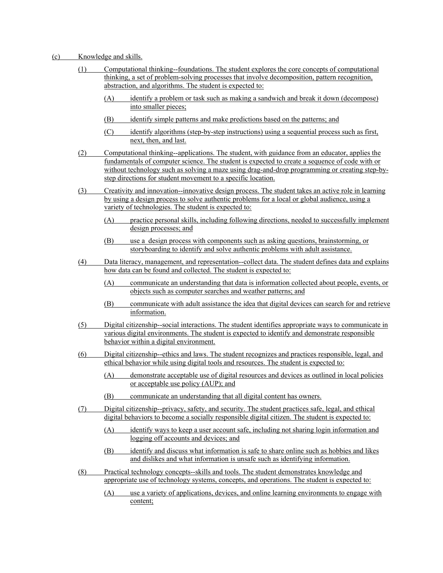### (c) Knowledge and skills.

- (1) Computational thinking--foundations. The student explores the core concepts of computational thinking, a set of problem-solving processes that involve decomposition, pattern recognition, abstraction, and algorithms. The student is expected to:
	- (A) identify a problem or task such as making a sandwich and break it down (decompose) into smaller pieces;
	- (B) identify simple patterns and make predictions based on the patterns; and
	- (C) identify algorithms (step-by-step instructions) using a sequential process such as first, next, then, and last.
- (2) Computational thinking--applications. The student, with guidance from an educator, applies the fundamentals of computer science. The student is expected to create a sequence of code with or without technology such as solving a maze using drag-and-drop programming or creating step-bystep directions for student movement to a specific location.
- (3) Creativity and innovation--innovative design process. The student takes an active role in learning by using a design process to solve authentic problems for a local or global audience, using a variety of technologies. The student is expected to:
	- (A) practice personal skills, including following directions, needed to successfully implement design processes; and
	- (B) use a design process with components such as asking questions, brainstorming, or storyboarding to identify and solve authentic problems with adult assistance.
- (4) Data literacy, management, and representation--collect data. The student defines data and explains how data can be found and collected. The student is expected to:
	- (A) communicate an understanding that data is information collected about people, events, or objects such as computer searches and weather patterns; and
	- (B) communicate with adult assistance the idea that digital devices can search for and retrieve information.
- (5) Digital citizenship--social interactions. The student identifies appropriate ways to communicate in various digital environments. The student is expected to identify and demonstrate responsible behavior within a digital environment.
- (6) Digital citizenship--ethics and laws. The student recognizes and practices responsible, legal, and ethical behavior while using digital tools and resources. The student is expected to:
	- (A) demonstrate acceptable use of digital resources and devices as outlined in local policies or acceptable use policy (AUP); and
	- (B) communicate an understanding that all digital content has owners.
- (7) Digital citizenship--privacy, safety, and security. The student practices safe, legal, and ethical digital behaviors to become a socially responsible digital citizen. The student is expected to:
	- (A) identify ways to keep a user account safe, including not sharing login information and logging off accounts and devices; and
	- (B) identify and discuss what information is safe to share online such as hobbies and likes and dislikes and what information is unsafe such as identifying information.
- (8) Practical technology concepts--skills and tools. The student demonstrates knowledge and appropriate use of technology systems, concepts, and operations. The student is expected to:
	- (A) use a variety of applications, devices, and online learning environments to engage with content;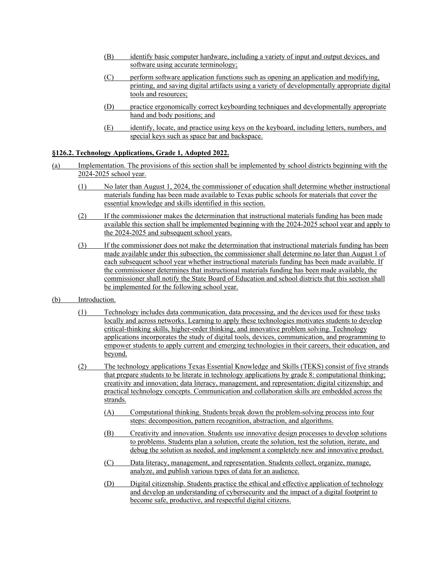- (B) identify basic computer hardware, including a variety of input and output devices, and software using accurate terminology;
- (C) perform software application functions such as opening an application and modifying, printing, and saving digital artifacts using a variety of developmentally appropriate digital tools and resources;
- (D) practice ergonomically correct keyboarding techniques and developmentally appropriate hand and body positions; and
- (E) identify, locate, and practice using keys on the keyboard, including letters, numbers, and special keys such as space bar and backspace.

# **§126.2. Technology Applications, Grade 1, Adopted 2022.**

- (a) Implementation. The provisions of this section shall be implemented by school districts beginning with the 2024-2025 school year.
	- (1) No later than August 1, 2024, the commissioner of education shall determine whether instructional materials funding has been made available to Texas public schools for materials that cover the essential knowledge and skills identified in this section.
	- (2) If the commissioner makes the determination that instructional materials funding has been made available this section shall be implemented beginning with the 2024-2025 school year and apply to the 2024-2025 and subsequent school years.
	- (3) If the commissioner does not make the determination that instructional materials funding has been made available under this subsection, the commissioner shall determine no later than August 1 of each subsequent school year whether instructional materials funding has been made available. If the commissioner determines that instructional materials funding has been made available, the commissioner shall notify the State Board of Education and school districts that this section shall be implemented for the following school year.
- (b) Introduction.
	- (1) Technology includes data communication, data processing, and the devices used for these tasks locally and across networks. Learning to apply these technologies motivates students to develop critical-thinking skills, higher-order thinking, and innovative problem solving. Technology applications incorporates the study of digital tools, devices, communication, and programming to empower students to apply current and emerging technologies in their careers, their education, and beyond.
	- (2) The technology applications Texas Essential Knowledge and Skills (TEKS) consist of five strands that prepare students to be literate in technology applications by grade 8: computational thinking; creativity and innovation; data literacy, management, and representation; digital citizenship; and practical technology concepts. Communication and collaboration skills are embedded across the strands.
		- (A) Computational thinking. Students break down the problem-solving process into four steps: decomposition, pattern recognition, abstraction, and algorithms.
		- (B) Creativity and innovation. Students use innovative design processes to develop solutions to problems. Students plan a solution, create the solution, test the solution, iterate, and debug the solution as needed, and implement a completely new and innovative product.
		- (C) Data literacy, management, and representation. Students collect, organize, manage, analyze, and publish various types of data for an audience.
		- (D) Digital citizenship. Students practice the ethical and effective application of technology and develop an understanding of cybersecurity and the impact of a digital footprint to become safe, productive, and respectful digital citizens.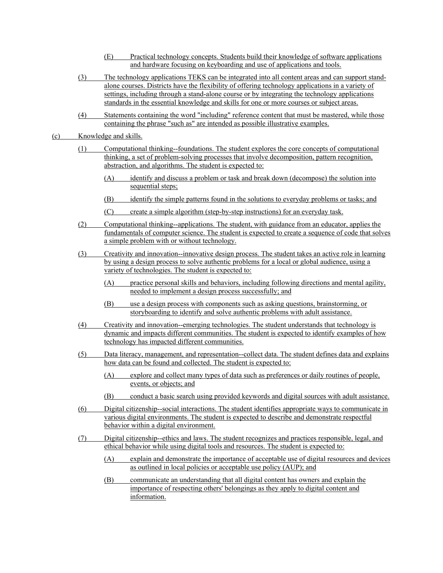- (E) Practical technology concepts. Students build their knowledge of software applications and hardware focusing on keyboarding and use of applications and tools.
- (3) The technology applications TEKS can be integrated into all content areas and can support standalone courses. Districts have the flexibility of offering technology applications in a variety of settings, including through a stand-alone course or by integrating the technology applications standards in the essential knowledge and skills for one or more courses or subject areas.
- (4) Statements containing the word "including" reference content that must be mastered, while those containing the phrase "such as" are intended as possible illustrative examples.
- (c) Knowledge and skills.
	- (1) Computational thinking--foundations. The student explores the core concepts of computational thinking, a set of problem-solving processes that involve decomposition, pattern recognition, abstraction, and algorithms. The student is expected to:
		- (A) identify and discuss a problem or task and break down (decompose) the solution into sequential steps;
		- (B) identify the simple patterns found in the solutions to everyday problems or tasks; and
		- (C) create a simple algorithm (step-by-step instructions) for an everyday task.
	- (2) Computational thinking--applications. The student, with guidance from an educator, applies the fundamentals of computer science. The student is expected to create a sequence of code that solves a simple problem with or without technology.
	- (3) Creativity and innovation--innovative design process. The student takes an active role in learning by using a design process to solve authentic problems for a local or global audience, using a variety of technologies. The student is expected to:
		- (A) practice personal skills and behaviors, including following directions and mental agility, needed to implement a design process successfully; and
		- (B) use a design process with components such as asking questions, brainstorming, or storyboarding to identify and solve authentic problems with adult assistance.
	- (4) Creativity and innovation--emerging technologies. The student understands that technology is dynamic and impacts different communities. The student is expected to identify examples of how technology has impacted different communities.
	- (5) Data literacy, management, and representation--collect data. The student defines data and explains how data can be found and collected. The student is expected to:
		- (A) explore and collect many types of data such as preferences or daily routines of people, events, or objects; and
		- (B) conduct a basic search using provided keywords and digital sources with adult assistance.
	- (6) Digital citizenship--social interactions. The student identifies appropriate ways to communicate in various digital environments. The student is expected to describe and demonstrate respectful behavior within a digital environment.
	- (7) Digital citizenship--ethics and laws. The student recognizes and practices responsible, legal, and ethical behavior while using digital tools and resources. The student is expected to:
		- (A) explain and demonstrate the importance of acceptable use of digital resources and devices as outlined in local policies or acceptable use policy (AUP); and
		- (B) communicate an understanding that all digital content has owners and explain the importance of respecting others' belongings as they apply to digital content and information.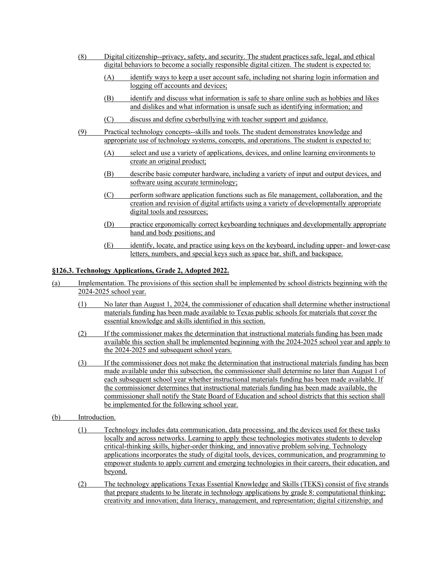- (8) Digital citizenship--privacy, safety, and security. The student practices safe, legal, and ethical digital behaviors to become a socially responsible digital citizen. The student is expected to:
	- (A) identify ways to keep a user account safe, including not sharing login information and logging off accounts and devices;
	- (B) identify and discuss what information is safe to share online such as hobbies and likes and dislikes and what information is unsafe such as identifying information; and
	- (C) discuss and define cyberbullying with teacher support and guidance.
- (9) Practical technology concepts--skills and tools. The student demonstrates knowledge and appropriate use of technology systems, concepts, and operations. The student is expected to:
	- (A) select and use a variety of applications, devices, and online learning environments to create an original product;
	- (B) describe basic computer hardware, including a variety of input and output devices, and software using accurate terminology;
	- (C) perform software application functions such as file management, collaboration, and the creation and revision of digital artifacts using a variety of developmentally appropriate digital tools and resources;
	- (D) practice ergonomically correct keyboarding techniques and developmentally appropriate hand and body positions; and
	- (E) identify, locate, and practice using keys on the keyboard, including upper- and lower-case letters, numbers, and special keys such as space bar, shift, and backspace.

## **§126.3. Technology Applications, Grade 2, Adopted 2022.**

- (a) Implementation. The provisions of this section shall be implemented by school districts beginning with the 2024-2025 school year.
	- (1) No later than August 1, 2024, the commissioner of education shall determine whether instructional materials funding has been made available to Texas public schools for materials that cover the essential knowledge and skills identified in this section.
	- (2) If the commissioner makes the determination that instructional materials funding has been made available this section shall be implemented beginning with the 2024-2025 school year and apply to the 2024-2025 and subsequent school years.
	- (3) If the commissioner does not make the determination that instructional materials funding has been made available under this subsection, the commissioner shall determine no later than August 1 of each subsequent school year whether instructional materials funding has been made available. If the commissioner determines that instructional materials funding has been made available, the commissioner shall notify the State Board of Education and school districts that this section shall be implemented for the following school year.
- (b) Introduction.
	- (1) Technology includes data communication, data processing, and the devices used for these tasks locally and across networks. Learning to apply these technologies motivates students to develop critical-thinking skills, higher-order thinking, and innovative problem solving. Technology applications incorporates the study of digital tools, devices, communication, and programming to empower students to apply current and emerging technologies in their careers, their education, and beyond.
	- (2) The technology applications Texas Essential Knowledge and Skills (TEKS) consist of five strands that prepare students to be literate in technology applications by grade 8: computational thinking; creativity and innovation; data literacy, management, and representation; digital citizenship; and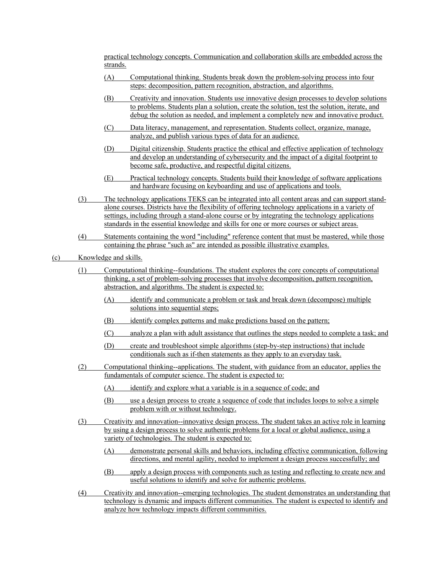practical technology concepts. Communication and collaboration skills are embedded across the strands.

- (A) Computational thinking. Students break down the problem-solving process into four steps: decomposition, pattern recognition, abstraction, and algorithms.
- (B) Creativity and innovation. Students use innovative design processes to develop solutions to problems. Students plan a solution, create the solution, test the solution, iterate, and debug the solution as needed, and implement a completely new and innovative product.
- (C) Data literacy, management, and representation. Students collect, organize, manage, analyze, and publish various types of data for an audience.
- (D) Digital citizenship. Students practice the ethical and effective application of technology and develop an understanding of cybersecurity and the impact of a digital footprint to become safe, productive, and respectful digital citizens.
- (E) Practical technology concepts. Students build their knowledge of software applications and hardware focusing on keyboarding and use of applications and tools.
- (3) The technology applications TEKS can be integrated into all content areas and can support standalone courses. Districts have the flexibility of offering technology applications in a variety of settings, including through a stand-alone course or by integrating the technology applications standards in the essential knowledge and skills for one or more courses or subject areas.
- (4) Statements containing the word "including" reference content that must be mastered, while those containing the phrase "such as" are intended as possible illustrative examples.
- (c) Knowledge and skills.
	- (1) Computational thinking--foundations. The student explores the core concepts of computational thinking, a set of problem-solving processes that involve decomposition, pattern recognition, abstraction, and algorithms. The student is expected to:
		- (A) identify and communicate a problem or task and break down (decompose) multiple solutions into sequential steps:
		- (B) identify complex patterns and make predictions based on the pattern;
		- (C) analyze a plan with adult assistance that outlines the steps needed to complete a task; and
		- (D) create and troubleshoot simple algorithms (step-by-step instructions) that include conditionals such as if-then statements as they apply to an everyday task.
	- (2) Computational thinking--applications. The student, with guidance from an educator, applies the fundamentals of computer science. The student is expected to:
		- (A) identify and explore what a variable is in a sequence of code; and
		- (B) use a design process to create a sequence of code that includes loops to solve a simple problem with or without technology.
	- (3) Creativity and innovation--innovative design process. The student takes an active role in learning by using a design process to solve authentic problems for a local or global audience, using a variety of technologies. The student is expected to:
		- (A) demonstrate personal skills and behaviors, including effective communication, following directions, and mental agility, needed to implement a design process successfully; and
		- (B) apply a design process with components such as testing and reflecting to create new and useful solutions to identify and solve for authentic problems.
	- (4) Creativity and innovation--emerging technologies. The student demonstrates an understanding that technology is dynamic and impacts different communities. The student is expected to identify and analyze how technology impacts different communities.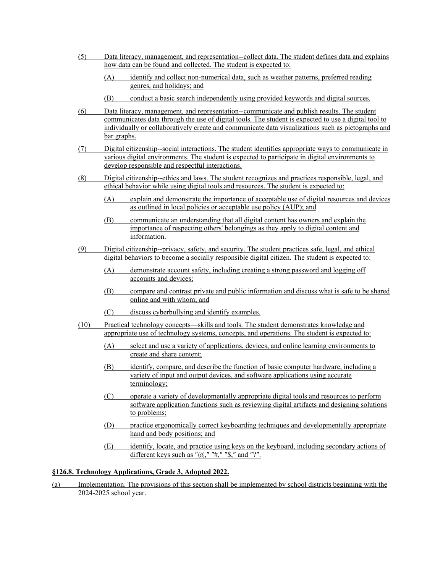- (5) Data literacy, management, and representation--collect data. The student defines data and explains how data can be found and collected. The student is expected to:
	- (A) identify and collect non-numerical data, such as weather patterns, preferred reading genres, and holidays; and
	- (B) conduct a basic search independently using provided keywords and digital sources.
- (6) Data literacy, management, and representation--communicate and publish results. The student communicates data through the use of digital tools. The student is expected to use a digital tool to individually or collaboratively create and communicate data visualizations such as pictographs and bar graphs.
- (7) Digital citizenship--social interactions. The student identifies appropriate ways to communicate in various digital environments. The student is expected to participate in digital environments to develop responsible and respectful interactions.
- (8) Digital citizenship--ethics and laws. The student recognizes and practices responsible, legal, and ethical behavior while using digital tools and resources. The student is expected to:
	- (A) explain and demonstrate the importance of acceptable use of digital resources and devices as outlined in local policies or acceptable use policy (AUP); and
	- (B) communicate an understanding that all digital content has owners and explain the importance of respecting others' belongings as they apply to digital content and information.
- (9) Digital citizenship--privacy, safety, and security. The student practices safe, legal, and ethical digital behaviors to become a socially responsible digital citizen. The student is expected to:
	- (A) demonstrate account safety, including creating a strong password and logging off accounts and devices;
	- (B) compare and contrast private and public information and discuss what is safe to be shared online and with whom; and
	- (C) discuss cyberbullying and identify examples.
- (10) Practical technology concepts—skills and tools. The student demonstrates knowledge and appropriate use of technology systems, concepts, and operations. The student is expected to:
	- (A) select and use a variety of applications, devices, and online learning environments to create and share content;
	- (B) identify, compare, and describe the function of basic computer hardware, including a variety of input and output devices, and software applications using accurate terminology;
	- (C) operate a variety of developmentally appropriate digital tools and resources to perform software application functions such as reviewing digital artifacts and designing solutions to problems;
	- (D) practice ergonomically correct keyboarding techniques and developmentally appropriate hand and body positions; and
	- (E) identify, locate, and practice using keys on the keyboard, including secondary actions of different keys such as " $@,$ " "#," "\$," and "?".

### **§126.8. Technology Applications, Grade 3, Adopted 2022.**

(a) Implementation. The provisions of this section shall be implemented by school districts beginning with the 2024-2025 school year.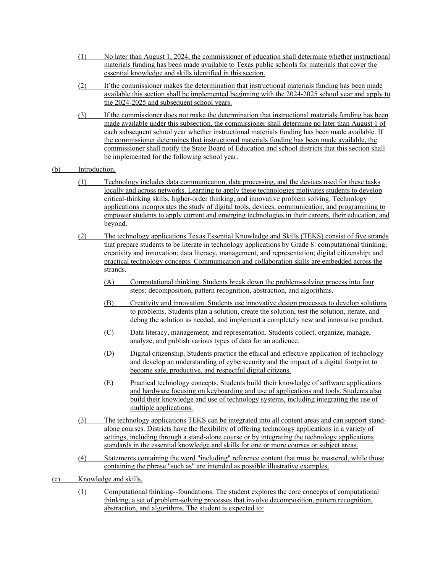- (1) No later than August 1, 2024, the commissioner of education shall determine whether instructional materials funding has been made available to Texas public schools for materials that cover the essential knowledge and skills identified in this section.
- (2) If the commissioner makes the determination that instructional materials funding has been made available this section shall be implemented beginning with the 2024-2025 school year and apply to the 2024-2025 and subsequent school years.
- (3) If the commissioner does not make the determination that instructional materials funding has been made available under this subsection, the commissioner shall determine no later than August 1 of each subsequent school year whether instructional materials funding has been made available. If the commissioner determines that instructional materials funding has been made available, the commissioner shall notify the State Board of Education and school districts that this section shall be implemented for the following school year.
- (b) Introduction.
	- (1) Technology includes data communication, data processing, and the devices used for these tasks locally and across networks. Learning to apply these technologies motivates students to develop critical-thinking skills, higher-order thinking, and innovative problem solving. Technology applications incorporates the study of digital tools, devices, communication, and programming to empower students to apply current and emerging technologies in their careers, their education, and beyond.
	- (2) The technology applications Texas Essential Knowledge and Skills (TEKS) consist of five strands that prepare students to be literate in technology applications by Grade 8: computational thinking; creativity and innovation; data literacy, management, and representation; digital citizenship; and practical technology concepts. Communication and collaboration skills are embedded across the strands.
		- (A) Computational thinking. Students break down the problem-solving process into four steps: decomposition, pattern recognition, abstraction, and algorithms.
		- (B) Creativity and innovation. Students use innovative design processes to develop solutions to problems. Students plan a solution, create the solution, test the solution, iterate, and debug the solution as needed, and implement a completely new and innovative product.
		- (C) Data literacy, management, and representation. Students collect, organize, manage, analyze, and publish various types of data for an audience.
		- (D) Digital citizenship. Students practice the ethical and effective application of technology and develop an understanding of cybersecurity and the impact of a digital footprint to become safe, productive, and respectful digital citizens.
		- (E) Practical technology concepts. Students build their knowledge of software applications and hardware focusing on keyboarding and use of applications and tools. Students also build their knowledge and use of technology systems, including integrating the use of multiple applications.
	- (3) The technology applications TEKS can be integrated into all content areas and can support standalone courses. Districts have the flexibility of offering technology applications in a variety of settings, including through a stand-alone course or by integrating the technology applications standards in the essential knowledge and skills for one or more courses or subject areas.
	- (4) Statements containing the word "including" reference content that must be mastered, while those containing the phrase "such as" are intended as possible illustrative examples.
- (c) Knowledge and skills.
	- (1) Computational thinking--foundations. The student explores the core concepts of computational thinking, a set of problem-solving processes that involve decomposition, pattern recognition, abstraction, and algorithms. The student is expected to: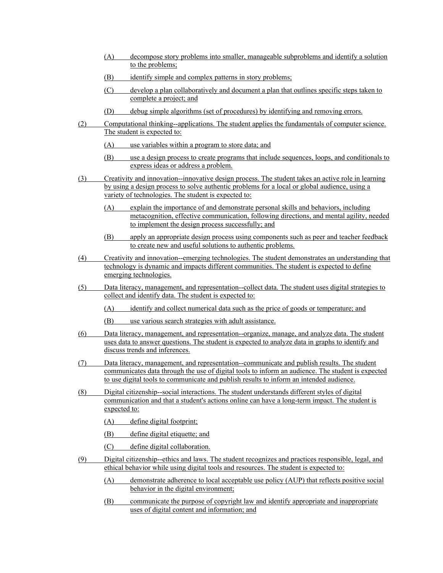- (A) decompose story problems into smaller, manageable subproblems and identify a solution to the problems;
- (B) identify simple and complex patterns in story problems;
- (C) develop a plan collaboratively and document a plan that outlines specific steps taken to complete a project; and
- (D) debug simple algorithms (set of procedures) by identifying and removing errors.
- (2) Computational thinking--applications. The student applies the fundamentals of computer science. The student is expected to:
	- (A) use variables within a program to store data; and
	- (B) use a design process to create programs that include sequences, loops, and conditionals to express ideas or address a problem.
- (3) Creativity and innovation--innovative design process. The student takes an active role in learning by using a design process to solve authentic problems for a local or global audience, using a variety of technologies. The student is expected to:
	- (A) explain the importance of and demonstrate personal skills and behaviors, including metacognition, effective communication, following directions, and mental agility, needed to implement the design process successfully; and
	- (B) apply an appropriate design process using components such as peer and teacher feedback to create new and useful solutions to authentic problems.
- (4) Creativity and innovation--emerging technologies. The student demonstrates an understanding that technology is dynamic and impacts different communities. The student is expected to define emerging technologies.
- (5) Data literacy, management, and representation--collect data. The student uses digital strategies to collect and identify data. The student is expected to:
	- (A) identify and collect numerical data such as the price of goods or temperature; and
	- (B) use various search strategies with adult assistance.
- (6) Data literacy, management, and representation--organize, manage, and analyze data. The student uses data to answer questions. The student is expected to analyze data in graphs to identify and discuss trends and inferences.
- (7) Data literacy, management, and representation--communicate and publish results. The student communicates data through the use of digital tools to inform an audience. The student is expected to use digital tools to communicate and publish results to inform an intended audience.
- (8) Digital citizenship--social interactions. The student understands different styles of digital communication and that a student's actions online can have a long-term impact. The student is expected to:
	- (A) define digital footprint;
	- (B) define digital etiquette; and
	- (C) define digital collaboration.
- (9) Digital citizenship--ethics and laws. The student recognizes and practices responsible, legal, and ethical behavior while using digital tools and resources. The student is expected to:
	- (A) demonstrate adherence to local acceptable use policy (AUP) that reflects positive social behavior in the digital environment;
	- (B) communicate the purpose of copyright law and identify appropriate and inappropriate uses of digital content and information; and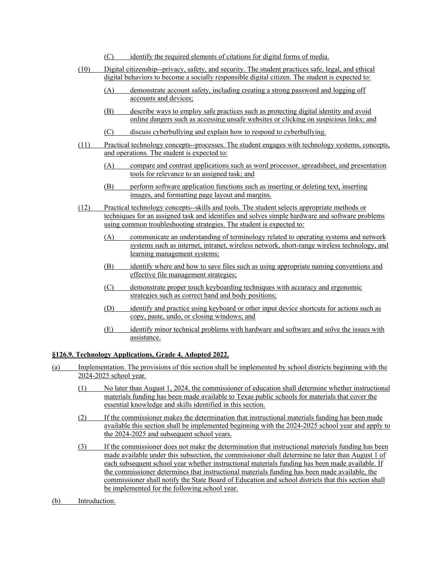- (C) identify the required elements of citations for digital forms of media.
- (10) Digital citizenship--privacy, safety, and security. The student practices safe, legal, and ethical digital behaviors to become a socially responsible digital citizen. The student is expected to:
	- (A) demonstrate account safety, including creating a strong password and logging off accounts and devices;
	- (B) describe ways to employ safe practices such as protecting digital identity and avoid online dangers such as accessing unsafe websites or clicking on suspicious links; and
	- (C) discuss cyberbullying and explain how to respond to cyberbullying.
- (11) Practical technology concepts--processes. The student engages with technology systems, concepts, and operations. The student is expected to:
	- (A) compare and contrast applications such as word processor, spreadsheet, and presentation tools for relevance to an assigned task; and
	- (B) perform software application functions such as inserting or deleting text, inserting images, and formatting page layout and margins.
- (12) Practical technology concepts--skills and tools. The student selects appropriate methods or techniques for an assigned task and identifies and solves simple hardware and software problems using common troubleshooting strategies. The student is expected to:
	- (A) communicate an understanding of terminology related to operating systems and network systems such as internet, intranet, wireless network, short-range wireless technology, and learning management systems;
	- (B) identify where and how to save files such as using appropriate naming conventions and effective file management strategies;
	- (C) demonstrate proper touch keyboarding techniques with accuracy and ergonomic strategies such as correct hand and body positions;
	- (D) identify and practice using keyboard or other input device shortcuts for actions such as copy, paste, undo, or closing windows; and
	- (E) identify minor technical problems with hardware and software and solve the issues with assistance.

## **§126.9. Technology Applications, Grade 4, Adopted 2022.**

- (a) Implementation. The provisions of this section shall be implemented by school districts beginning with the 2024-2025 school year.
	- (1) No later than August 1, 2024, the commissioner of education shall determine whether instructional materials funding has been made available to Texas public schools for materials that cover the essential knowledge and skills identified in this section.
	- (2) If the commissioner makes the determination that instructional materials funding has been made available this section shall be implemented beginning with the 2024-2025 school year and apply to the 2024-2025 and subsequent school years.
	- (3) If the commissioner does not make the determination that instructional materials funding has been made available under this subsection, the commissioner shall determine no later than August 1 of each subsequent school year whether instructional materials funding has been made available. If the commissioner determines that instructional materials funding has been made available, the commissioner shall notify the State Board of Education and school districts that this section shall be implemented for the following school year.
- (b) Introduction.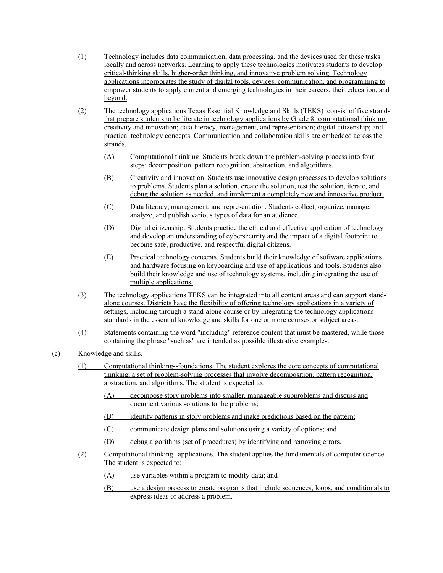- (1) Technology includes data communication, data processing, and the devices used for these tasks locally and across networks. Learning to apply these technologies motivates students to develop critical-thinking skills, higher-order thinking, and innovative problem solving. Technology applications incorporates the study of digital tools, devices, communication, and programming to empower students to apply current and emerging technologies in their careers, their education, and beyond.
- (2) The technology applications Texas Essential Knowledge and Skills (TEKS) consist of five strands that prepare students to be literate in technology applications by Grade 8: computational thinking; creativity and innovation; data literacy, management, and representation; digital citizenship; and practical technology concepts. Communication and collaboration skills are embedded across the strands.
	- (A) Computational thinking. Students break down the problem-solving process into four steps: decomposition, pattern recognition, abstraction, and algorithms.
	- (B) Creativity and innovation. Students use innovative design processes to develop solutions to problems. Students plan a solution, create the solution, test the solution, iterate, and debug the solution as needed, and implement a completely new and innovative product.
	- (C) Data literacy, management, and representation. Students collect, organize, manage, analyze, and publish various types of data for an audience.
	- (D) Digital citizenship. Students practice the ethical and effective application of technology and develop an understanding of cybersecurity and the impact of a digital footprint to become safe, productive, and respectful digital citizens.
	- (E) Practical technology concepts. Students build their knowledge of software applications and hardware focusing on keyboarding and use of applications and tools. Students also build their knowledge and use of technology systems, including integrating the use of multiple applications.
- (3) The technology applications TEKS can be integrated into all content areas and can support standalone courses. Districts have the flexibility of offering technology applications in a variety of settings, including through a stand-alone course or by integrating the technology applications standards in the essential knowledge and skills for one or more courses or subject areas.
- (4) Statements containing the word "including" reference content that must be mastered, while those containing the phrase "such as" are intended as possible illustrative examples.
- (c) Knowledge and skills.
	- (1) Computational thinking--foundations. The student explores the core concepts of computational thinking, a set of problem-solving processes that involve decomposition, pattern recognition, abstraction, and algorithms. The student is expected to:
		- (A) decompose story problems into smaller, manageable subproblems and discuss and document various solutions to the problems;
		- (B) identify patterns in story problems and make predictions based on the pattern;
		- (C) communicate design plans and solutions using a variety of options; and
		- (D) debug algorithms (set of procedures) by identifying and removing errors.
	- (2) Computational thinking--applications. The student applies the fundamentals of computer science. The student is expected to:
		- (A) use variables within a program to modify data; and
		- (B) use a design process to create programs that include sequences, loops, and conditionals to express ideas or address a problem.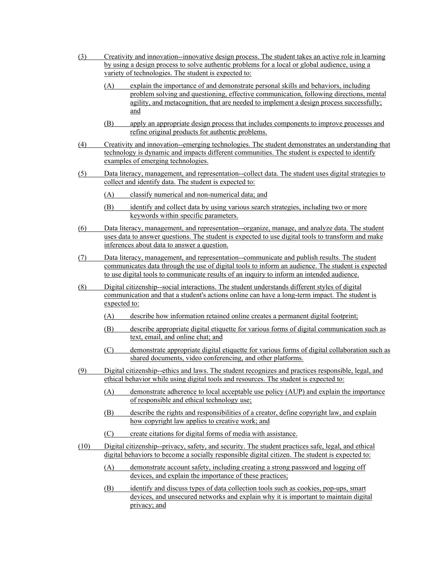- (3) Creativity and innovation--innovative design process. The student takes an active role in learning by using a design process to solve authentic problems for a local or global audience, using a variety of technologies. The student is expected to: (A) explain the importance of and demonstrate personal skills and behaviors, including problem solving and questioning, effective communication, following directions, mental agility, and metacognition, that are needed to implement a design process successfully; and (B) apply an appropriate design process that includes components to improve processes and refine original products for authentic problems. (4) Creativity and innovation--emerging technologies. The student demonstrates an understanding that technology is dynamic and impacts different communities. The student is expected to identify examples of emerging technologies. (5) Data literacy, management, and representation--collect data. The student uses digital strategies to collect and identify data. The student is expected to: (A) classify numerical and non-numerical data; and (B) identify and collect data by using various search strategies, including two or more keywords within specific parameters. (6) Data literacy, management, and representation--organize, manage, and analyze data. The student uses data to answer questions. The student is expected to use digital tools to transform and make inferences about data to answer a question. (7) Data literacy, management, and representation--communicate and publish results. The student communicates data through the use of digital tools to inform an audience. The student is expected to use digital tools to communicate results of an inquiry to inform an intended audience. (8) Digital citizenship--social interactions. The student understands different styles of digital communication and that a student's actions online can have a long-term impact. The student is expected to: (A) describe how information retained online creates a permanent digital footprint; (B) describe appropriate digital etiquette for various forms of digital communication such as text, email, and online chat; and (C) demonstrate appropriate digital etiquette for various forms of digital collaboration such as shared documents, video conferencing, and other platforms. (9) Digital citizenship--ethics and laws. The student recognizes and practices responsible, legal, and ethical behavior while using digital tools and resources. The student is expected to: (A) demonstrate adherence to local acceptable use policy (AUP) and explain the importance of responsible and ethical technology use; (B) describe the rights and responsibilities of a creator, define copyright law, and explain how copyright law applies to creative work; and (C) create citations for digital forms of media with assistance. (10) Digital citizenship--privacy, safety, and security. The student practices safe, legal, and ethical digital behaviors to become a socially responsible digital citizen. The student is expected to: (A) demonstrate account safety, including creating a strong password and logging off devices, and explain the importance of these practices; (B) identify and discuss types of data collection tools such as cookies, pop-ups, smart
	- devices, and unsecured networks and explain why it is important to maintain digital privacy; and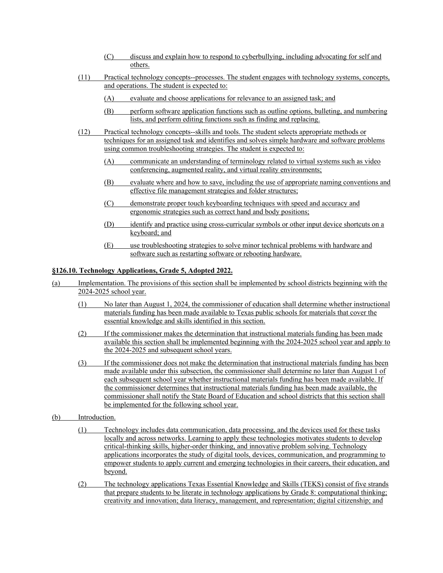- (C) discuss and explain how to respond to cyberbullying, including advocating for self and others.
- (11) Practical technology concepts--processes. The student engages with technology systems, concepts, and operations. The student is expected to:
	- (A) evaluate and choose applications for relevance to an assigned task; and
	- (B) perform software application functions such as outline options, bulleting, and numbering lists, and perform editing functions such as finding and replacing.
- (12) Practical technology concepts--skills and tools. The student selects appropriate methods or techniques for an assigned task and identifies and solves simple hardware and software problems using common troubleshooting strategies. The student is expected to:
	- (A) communicate an understanding of terminology related to virtual systems such as video conferencing, augmented reality, and virtual reality environments;
	- (B) evaluate where and how to save, including the use of appropriate naming conventions and effective file management strategies and folder structures;
	- (C) demonstrate proper touch keyboarding techniques with speed and accuracy and ergonomic strategies such as correct hand and body positions;
	- (D) identify and practice using cross-curricular symbols or other input device shortcuts on a keyboard; and
	- (E) use troubleshooting strategies to solve minor technical problems with hardware and software such as restarting software or rebooting hardware.

# **§126.10. Technology Applications, Grade 5, Adopted 2022.**

- (a) Implementation. The provisions of this section shall be implemented by school districts beginning with the 2024-2025 school year.
	- (1) No later than August 1, 2024, the commissioner of education shall determine whether instructional materials funding has been made available to Texas public schools for materials that cover the essential knowledge and skills identified in this section.
	- (2) If the commissioner makes the determination that instructional materials funding has been made available this section shall be implemented beginning with the 2024-2025 school year and apply to the 2024-2025 and subsequent school years.
	- (3) If the commissioner does not make the determination that instructional materials funding has been made available under this subsection, the commissioner shall determine no later than August 1 of each subsequent school year whether instructional materials funding has been made available. If the commissioner determines that instructional materials funding has been made available, the commissioner shall notify the State Board of Education and school districts that this section shall be implemented for the following school year.
- (b) Introduction.
	- (1) Technology includes data communication, data processing, and the devices used for these tasks locally and across networks. Learning to apply these technologies motivates students to develop critical-thinking skills, higher-order thinking, and innovative problem solving. Technology applications incorporates the study of digital tools, devices, communication, and programming to empower students to apply current and emerging technologies in their careers, their education, and beyond.
	- (2) The technology applications Texas Essential Knowledge and Skills (TEKS) consist of five strands that prepare students to be literate in technology applications by Grade 8: computational thinking; creativity and innovation; data literacy, management, and representation; digital citizenship; and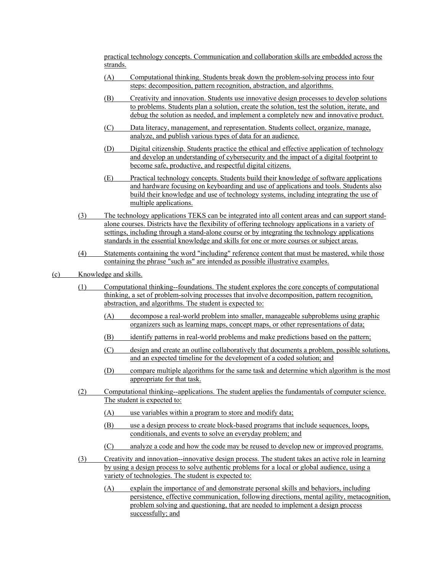practical technology concepts. Communication and collaboration skills are embedded across the strands.

- (A) Computational thinking. Students break down the problem-solving process into four steps: decomposition, pattern recognition, abstraction, and algorithms.
- (B) Creativity and innovation. Students use innovative design processes to develop solutions to problems. Students plan a solution, create the solution, test the solution, iterate, and debug the solution as needed, and implement a completely new and innovative product.
- (C) Data literacy, management, and representation. Students collect, organize, manage, analyze, and publish various types of data for an audience.
- (D) Digital citizenship. Students practice the ethical and effective application of technology and develop an understanding of cybersecurity and the impact of a digital footprint to become safe, productive, and respectful digital citizens.
- (E) Practical technology concepts. Students build their knowledge of software applications and hardware focusing on keyboarding and use of applications and tools. Students also build their knowledge and use of technology systems, including integrating the use of multiple applications.
- (3) The technology applications TEKS can be integrated into all content areas and can support standalone courses. Districts have the flexibility of offering technology applications in a variety of settings, including through a stand-alone course or by integrating the technology applications standards in the essential knowledge and skills for one or more courses or subject areas.
- (4) Statements containing the word "including" reference content that must be mastered, while those containing the phrase "such as" are intended as possible illustrative examples.
- (c) Knowledge and skills.
	- (1) Computational thinking--foundations. The student explores the core concepts of computational thinking, a set of problem-solving processes that involve decomposition, pattern recognition, abstraction, and algorithms. The student is expected to:
		- (A) decompose a real-world problem into smaller, manageable subproblems using graphic organizers such as learning maps, concept maps, or other representations of data;
		- (B) identify patterns in real-world problems and make predictions based on the pattern;
		- (C) design and create an outline collaboratively that documents a problem, possible solutions, and an expected timeline for the development of a coded solution; and
		- (D) compare multiple algorithms for the same task and determine which algorithm is the most appropriate for that task.
	- (2) Computational thinking--applications. The student applies the fundamentals of computer science. The student is expected to:
		- (A) use variables within a program to store and modify data;
		- (B) use a design process to create block-based programs that include sequences, loops, conditionals, and events to solve an everyday problem; and
		- (C) analyze a code and how the code may be reused to develop new or improved programs.
	- (3) Creativity and innovation--innovative design process. The student takes an active role in learning by using a design process to solve authentic problems for a local or global audience, using a variety of technologies. The student is expected to:
		- (A) explain the importance of and demonstrate personal skills and behaviors, including persistence, effective communication, following directions, mental agility, metacognition, problem solving and questioning, that are needed to implement a design process successfully; and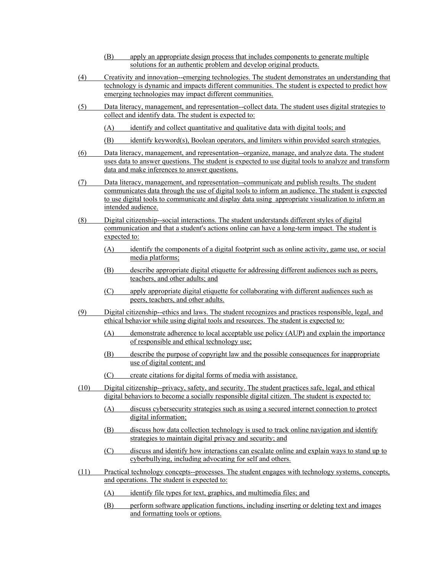- (B) apply an appropriate design process that includes components to generate multiple solutions for an authentic problem and develop original products.
- (4) Creativity and innovation--emerging technologies. The student demonstrates an understanding that technology is dynamic and impacts different communities. The student is expected to predict how emerging technologies may impact different communities.
- (5) Data literacy, management, and representation--collect data. The student uses digital strategies to collect and identify data. The student is expected to:
	- (A) identify and collect quantitative and qualitative data with digital tools; and
	- (B) identify keyword(s), Boolean operators, and limiters within provided search strategies.
- (6) Data literacy, management, and representation--organize, manage, and analyze data. The student uses data to answer questions. The student is expected to use digital tools to analyze and transform data and make inferences to answer questions.
- (7) Data literacy, management, and representation--communicate and publish results. The student communicates data through the use of digital tools to inform an audience. The student is expected to use digital tools to communicate and display data using appropriate visualization to inform an intended audience.
- (8) Digital citizenship--social interactions. The student understands different styles of digital communication and that a student's actions online can have a long-term impact. The student is expected to:
	- (A) identify the components of a digital footprint such as online activity, game use, or social media platforms;
	- (B) describe appropriate digital etiquette for addressing different audiences such as peers, teachers, and other adults; and
	- (C) apply appropriate digital etiquette for collaborating with different audiences such as peers, teachers, and other adults.
- (9) Digital citizenship--ethics and laws. The student recognizes and practices responsible, legal, and ethical behavior while using digital tools and resources. The student is expected to:
	- (A) demonstrate adherence to local acceptable use policy (AUP) and explain the importance of responsible and ethical technology use;
	- (B) describe the purpose of copyright law and the possible consequences for inappropriate use of digital content; and
	- (C) create citations for digital forms of media with assistance.
- (10) Digital citizenship--privacy, safety, and security. The student practices safe, legal, and ethical digital behaviors to become a socially responsible digital citizen. The student is expected to:
	- (A) discuss cybersecurity strategies such as using a secured internet connection to protect digital information;
	- (B) discuss how data collection technology is used to track online navigation and identify strategies to maintain digital privacy and security; and
	- (C) discuss and identify how interactions can escalate online and explain ways to stand up to cyberbullying, including advocating for self and others.
- (11) Practical technology concepts--processes. The student engages with technology systems, concepts, and operations. The student is expected to:
	- (A) identify file types for text, graphics, and multimedia files; and
	- (B) perform software application functions, including inserting or deleting text and images and formatting tools or options.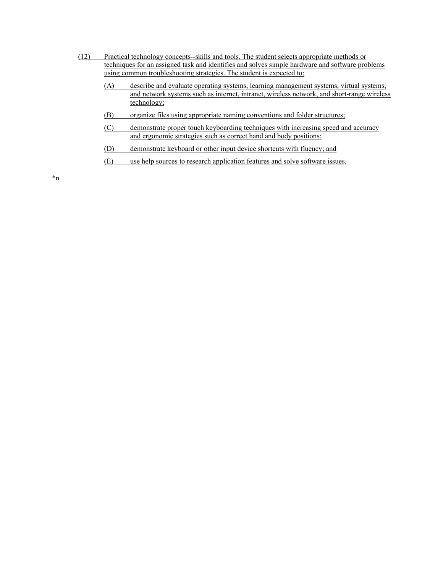- (12) Practical technology concepts--skills and tools. The student selects appropriate methods or techniques for an assigned task and identifies and solves simple hardware and software problems using common troubleshooting strategies. The student is expected to:
	- (A) describe and evaluate operating systems, learning management systems, virtual systems, and network systems such as internet, intranet, wireless network, and short-range wireless technology;
	- (B) organize files using appropriate naming conventions and folder structures;
	- (C) demonstrate proper touch keyboarding techniques with increasing speed and accuracy and ergonomic strategies such as correct hand and body positions;
	- (D) demonstrate keyboard or other input device shortcuts with fluency; and
	- (E) use help sources to research application features and solve software issues.

\*n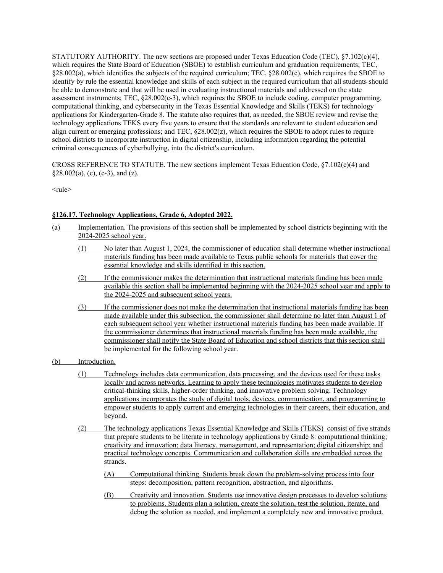STATUTORY AUTHORITY. The new sections are proposed under Texas Education Code (TEC), §7.102(c)(4), which requires the State Board of Education (SBOE) to establish curriculum and graduation requirements; TEC, §28.002(a), which identifies the subjects of the required curriculum; TEC, §28.002(c), which requires the SBOE to identify by rule the essential knowledge and skills of each subject in the required curriculum that all students should be able to demonstrate and that will be used in evaluating instructional materials and addressed on the state assessment instruments; TEC, §28.002(c-3), which requires the SBOE to include coding, computer programming, computational thinking, and cybersecurity in the Texas Essential Knowledge and Skills (TEKS) for technology applications for Kindergarten-Grade 8. The statute also requires that, as needed, the SBOE review and revise the technology applications TEKS every five years to ensure that the standards are relevant to student education and align current or emerging professions; and TEC,  $\S28.002(z)$ , which requires the SBOE to adopt rules to require school districts to incorporate instruction in digital citizenship, including information regarding the potential criminal consequences of cyberbullying, into the district's curriculum.

CROSS REFERENCE TO STATUTE. The new sections implement Texas Education Code, §7.102(c)(4) and  $§28.002(a), (c), (c-3), and (z).$ 

 $<sub>rule</sub>$ </sub>

# **§126.17. Technology Applications, Grade 6, Adopted 2022.**

- (a) Implementation. The provisions of this section shall be implemented by school districts beginning with the 2024-2025 school year.
	- (1) No later than August 1, 2024, the commissioner of education shall determine whether instructional materials funding has been made available to Texas public schools for materials that cover the essential knowledge and skills identified in this section.
	- (2) If the commissioner makes the determination that instructional materials funding has been made available this section shall be implemented beginning with the 2024-2025 school year and apply to the 2024-2025 and subsequent school years.
	- (3) If the commissioner does not make the determination that instructional materials funding has been made available under this subsection, the commissioner shall determine no later than August 1 of each subsequent school year whether instructional materials funding has been made available. If the commissioner determines that instructional materials funding has been made available, the commissioner shall notify the State Board of Education and school districts that this section shall be implemented for the following school year.
- (b) Introduction.
	- (1) Technology includes data communication, data processing, and the devices used for these tasks locally and across networks. Learning to apply these technologies motivates students to develop critical-thinking skills, higher-order thinking, and innovative problem solving. Technology applications incorporates the study of digital tools, devices, communication, and programming to empower students to apply current and emerging technologies in their careers, their education, and beyond.
	- (2) The technology applications Texas Essential Knowledge and Skills (TEKS) consist of five strands that prepare students to be literate in technology applications by Grade 8: computational thinking; creativity and innovation; data literacy, management, and representation; digital citizenship; and practical technology concepts. Communication and collaboration skills are embedded across the strands.
		- (A) Computational thinking. Students break down the problem-solving process into four steps: decomposition, pattern recognition, abstraction, and algorithms.
		- (B) Creativity and innovation. Students use innovative design processes to develop solutions to problems. Students plan a solution, create the solution, test the solution, iterate, and debug the solution as needed, and implement a completely new and innovative product.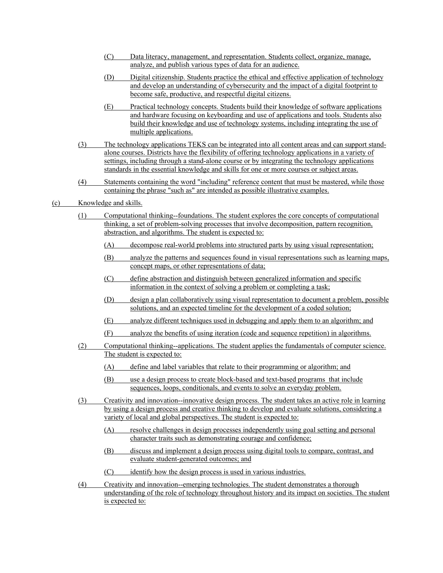- (C) Data literacy, management, and representation. Students collect, organize, manage, analyze, and publish various types of data for an audience.
- (D) Digital citizenship. Students practice the ethical and effective application of technology and develop an understanding of cybersecurity and the impact of a digital footprint to become safe, productive, and respectful digital citizens.
- (E) Practical technology concepts. Students build their knowledge of software applications and hardware focusing on keyboarding and use of applications and tools. Students also build their knowledge and use of technology systems, including integrating the use of multiple applications.
- (3) The technology applications TEKS can be integrated into all content areas and can support standalone courses. Districts have the flexibility of offering technology applications in a variety of settings, including through a stand-alone course or by integrating the technology applications standards in the essential knowledge and skills for one or more courses or subject areas.
- (4) Statements containing the word "including" reference content that must be mastered, while those containing the phrase "such as" are intended as possible illustrative examples.
- (c) Knowledge and skills.
	- (1) Computational thinking--foundations. The student explores the core concepts of computational thinking, a set of problem-solving processes that involve decomposition, pattern recognition, abstraction, and algorithms. The student is expected to:
		- (A) decompose real-world problems into structured parts by using visual representation;
		- (B) analyze the patterns and sequences found in visual representations such as learning maps, concept maps, or other representations of data;
		- (C) define abstraction and distinguish between generalized information and specific information in the context of solving a problem or completing a task;
		- (D) design a plan collaboratively using visual representation to document a problem, possible solutions, and an expected timeline for the development of a coded solution;
		- (E) analyze different techniques used in debugging and apply them to an algorithm; and
		- (F) analyze the benefits of using iteration (code and sequence repetition) in algorithms.
	- (2) Computational thinking--applications. The student applies the fundamentals of computer science. The student is expected to:
		- (A) define and label variables that relate to their programming or algorithm; and
		- (B) use a design process to create block-based and text-based programs that include sequences, loops, conditionals, and events to solve an everyday problem.
	- (3) Creativity and innovation--innovative design process. The student takes an active role in learning by using a design process and creative thinking to develop and evaluate solutions, considering a variety of local and global perspectives. The student is expected to:
		- (A) resolve challenges in design processes independently using goal setting and personal character traits such as demonstrating courage and confidence;
		- (B) discuss and implement a design process using digital tools to compare, contrast, and evaluate student-generated outcomes; and
		- (C) identify how the design process is used in various industries.
	- (4) Creativity and innovation--emerging technologies. The student demonstrates a thorough understanding of the role of technology throughout history and its impact on societies. The student is expected to: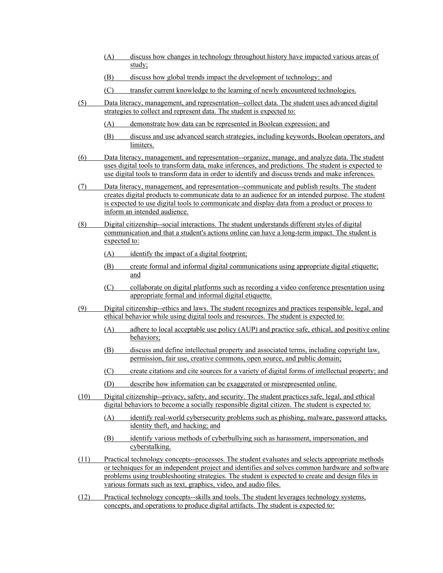- (A) discuss how changes in technology throughout history have impacted various areas of study;
- (B) discuss how global trends impact the development of technology; and
- (C) transfer current knowledge to the learning of newly encountered technologies.
- (5) Data literacy, management, and representation--collect data. The student uses advanced digital strategies to collect and represent data. The student is expected to:
	- (A) demonstrate how data can be represented in Boolean expression; and
	- (B) discuss and use advanced search strategies, including keywords, Boolean operators, and limiters.
- (6) Data literacy, management, and representation--organize, manage, and analyze data. The student uses digital tools to transform data, make inferences, and predictions. The student is expected to use digital tools to transform data in order to identify and discuss trends and make inferences.
- (7) Data literacy, management, and representation--communicate and publish results. The student creates digital products to communicate data to an audience for an intended purpose. The student is expected to use digital tools to communicate and display data from a product or process to inform an intended audience.
- (8) Digital citizenship--social interactions. The student understands different styles of digital communication and that a student's actions online can have a long-term impact. The student is expected to:
	- (A) identify the impact of a digital footprint;
	- (B) create formal and informal digital communications using appropriate digital etiquette; and
	- (C) collaborate on digital platforms such as recording a video conference presentation using appropriate formal and informal digital etiquette.
- (9) Digital citizenship--ethics and laws. The student recognizes and practices responsible, legal, and ethical behavior while using digital tools and resources. The student is expected to:
	- (A) adhere to local acceptable use policy (AUP) and practice safe, ethical, and positive online behaviors;
	- (B) discuss and define intellectual property and associated terms, including copyright law, permission, fair use, creative commons, open source, and public domain;
	- (C) create citations and cite sources for a variety of digital forms of intellectual property; and
	- (D) describe how information can be exaggerated or misrepresented online.
- (10) Digital citizenship--privacy, safety, and security. The student practices safe, legal, and ethical digital behaviors to become a socially responsible digital citizen. The student is expected to:
	- (A) identify real-world cybersecurity problems such as phishing, malware, password attacks, identity theft, and hacking; and
	- (B) identify various methods of cyberbullying such as harassment, impersonation, and cyberstalking.
- (11) Practical technology concepts--processes. The student evaluates and selects appropriate methods or techniques for an independent project and identifies and solves common hardware and software problems using troubleshooting strategies. The student is expected to create and design files in various formats such as text, graphics, video, and audio files.
- (12) Practical technology concepts--skills and tools. The student leverages technology systems, concepts, and operations to produce digital artifacts. The student is expected to: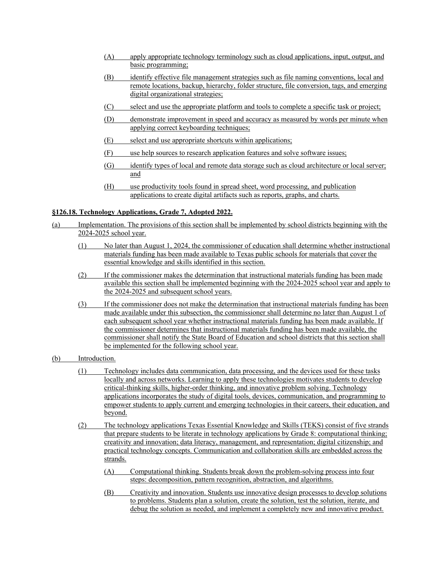- (A) apply appropriate technology terminology such as cloud applications, input, output, and basic programming;
- (B) identify effective file management strategies such as file naming conventions, local and remote locations, backup, hierarchy, folder structure, file conversion, tags, and emerging digital organizational strategies;
- (C) select and use the appropriate platform and tools to complete a specific task or project;
- (D) demonstrate improvement in speed and accuracy as measured by words per minute when applying correct keyboarding techniques;
- (E) select and use appropriate shortcuts within applications;
- (F) use help sources to research application features and solve software issues;
- (G) identify types of local and remote data storage such as cloud architecture or local server; and
- (H) use productivity tools found in spread sheet, word processing, and publication applications to create digital artifacts such as reports, graphs, and charts.

# **§126.18. Technology Applications, Grade 7, Adopted 2022.**

- (a) Implementation. The provisions of this section shall be implemented by school districts beginning with the 2024-2025 school year.
	- (1) No later than August 1, 2024, the commissioner of education shall determine whether instructional materials funding has been made available to Texas public schools for materials that cover the essential knowledge and skills identified in this section.
	- (2) If the commissioner makes the determination that instructional materials funding has been made available this section shall be implemented beginning with the 2024-2025 school year and apply to the 2024-2025 and subsequent school years.
	- (3) If the commissioner does not make the determination that instructional materials funding has been made available under this subsection, the commissioner shall determine no later than August 1 of each subsequent school year whether instructional materials funding has been made available. If the commissioner determines that instructional materials funding has been made available, the commissioner shall notify the State Board of Education and school districts that this section shall be implemented for the following school year.
- (b) Introduction.
	- (1) Technology includes data communication, data processing, and the devices used for these tasks locally and across networks. Learning to apply these technologies motivates students to develop critical-thinking skills, higher-order thinking, and innovative problem solving. Technology applications incorporates the study of digital tools, devices, communication, and programming to empower students to apply current and emerging technologies in their careers, their education, and beyond.
	- (2) The technology applications Texas Essential Knowledge and Skills (TEKS) consist of five strands that prepare students to be literate in technology applications by Grade 8: computational thinking; creativity and innovation; data literacy, management, and representation; digital citizenship; and practical technology concepts. Communication and collaboration skills are embedded across the strands.
		- (A) Computational thinking. Students break down the problem-solving process into four steps: decomposition, pattern recognition, abstraction, and algorithms.
		- (B) Creativity and innovation. Students use innovative design processes to develop solutions to problems. Students plan a solution, create the solution, test the solution, iterate, and debug the solution as needed, and implement a completely new and innovative product.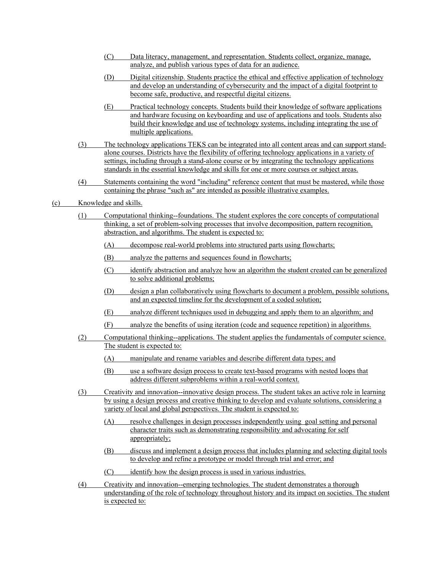- (C) Data literacy, management, and representation. Students collect, organize, manage, analyze, and publish various types of data for an audience.
- (D) Digital citizenship. Students practice the ethical and effective application of technology and develop an understanding of cybersecurity and the impact of a digital footprint to become safe, productive, and respectful digital citizens.
- (E) Practical technology concepts. Students build their knowledge of software applications and hardware focusing on keyboarding and use of applications and tools. Students also build their knowledge and use of technology systems, including integrating the use of multiple applications.
- (3) The technology applications TEKS can be integrated into all content areas and can support standalone courses. Districts have the flexibility of offering technology applications in a variety of settings, including through a stand-alone course or by integrating the technology applications standards in the essential knowledge and skills for one or more courses or subject areas.
- (4) Statements containing the word "including" reference content that must be mastered, while those containing the phrase "such as" are intended as possible illustrative examples.
- (c) Knowledge and skills.
	- (1) Computational thinking--foundations. The student explores the core concepts of computational thinking, a set of problem-solving processes that involve decomposition, pattern recognition, abstraction, and algorithms. The student is expected to:
		- (A) decompose real-world problems into structured parts using flowcharts;
		- (B) analyze the patterns and sequences found in flowcharts;
		- (C) identify abstraction and analyze how an algorithm the student created can be generalized to solve additional problems;
		- (D) design a plan collaboratively using flowcharts to document a problem, possible solutions, and an expected timeline for the development of a coded solution;
		- (E) analyze different techniques used in debugging and apply them to an algorithm; and
		- (F) analyze the benefits of using iteration (code and sequence repetition) in algorithms.
	- (2) Computational thinking--applications. The student applies the fundamentals of computer science. The student is expected to:
		- (A) manipulate and rename variables and describe different data types; and
		- (B) use a software design process to create text-based programs with nested loops that address different subproblems within a real-world context.
	- (3) Creativity and innovation--innovative design process. The student takes an active role in learning by using a design process and creative thinking to develop and evaluate solutions, considering a variety of local and global perspectives. The student is expected to:
		- (A) resolve challenges in design processes independently using goal setting and personal character traits such as demonstrating responsibility and advocating for self appropriately;
		- (B) discuss and implement a design process that includes planning and selecting digital tools to develop and refine a prototype or model through trial and error; and
		- (C) identify how the design process is used in various industries.
	- (4) Creativity and innovation--emerging technologies. The student demonstrates a thorough understanding of the role of technology throughout history and its impact on societies. The student is expected to: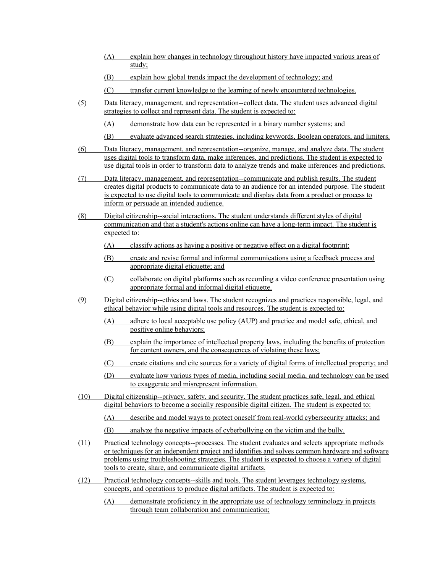- (A) explain how changes in technology throughout history have impacted various areas of study;
- (B) explain how global trends impact the development of technology; and
- (C) transfer current knowledge to the learning of newly encountered technologies.
- (5) Data literacy, management, and representation--collect data. The student uses advanced digital strategies to collect and represent data. The student is expected to:
	- (A) demonstrate how data can be represented in a binary number systems; and
	- (B) evaluate advanced search strategies, including keywords, Boolean operators, and limiters.
- (6) Data literacy, management, and representation--organize, manage, and analyze data. The student uses digital tools to transform data, make inferences, and predictions. The student is expected to use digital tools in order to transform data to analyze trends and make inferences and predictions.
- (7) Data literacy, management, and representation--communicate and publish results. The student creates digital products to communicate data to an audience for an intended purpose. The student is expected to use digital tools to communicate and display data from a product or process to inform or persuade an intended audience.
- (8) Digital citizenship--social interactions. The student understands different styles of digital communication and that a student's actions online can have a long-term impact. The student is expected to:
	- (A) classify actions as having a positive or negative effect on a digital footprint;
	- (B) create and revise formal and informal communications using a feedback process and appropriate digital etiquette; and
	- (C) collaborate on digital platforms such as recording a video conference presentation using appropriate formal and informal digital etiquette.
- (9) Digital citizenship--ethics and laws. The student recognizes and practices responsible, legal, and ethical behavior while using digital tools and resources. The student is expected to:
	- (A) adhere to local acceptable use policy (AUP) and practice and model safe, ethical, and positive online behaviors;
	- (B) explain the importance of intellectual property laws, including the benefits of protection for content owners, and the consequences of violating these laws;
	- (C) create citations and cite sources for a variety of digital forms of intellectual property; and
	- (D) evaluate how various types of media, including social media, and technology can be used to exaggerate and misrepresent information.
- (10) Digital citizenship--privacy, safety, and security. The student practices safe, legal, and ethical digital behaviors to become a socially responsible digital citizen. The student is expected to:
	- (A) describe and model ways to protect oneself from real-world cybersecurity attacks; and
	- (B) analyze the negative impacts of cyberbullying on the victim and the bully.
- (11) Practical technology concepts--processes. The student evaluates and selects appropriate methods or techniques for an independent project and identifies and solves common hardware and software problems using troubleshooting strategies. The student is expected to choose a variety of digital tools to create, share, and communicate digital artifacts.
- (12) Practical technology concepts--skills and tools. The student leverages technology systems, concepts, and operations to produce digital artifacts. The student is expected to:
	- (A) demonstrate proficiency in the appropriate use of technology terminology in projects through team collaboration and communication;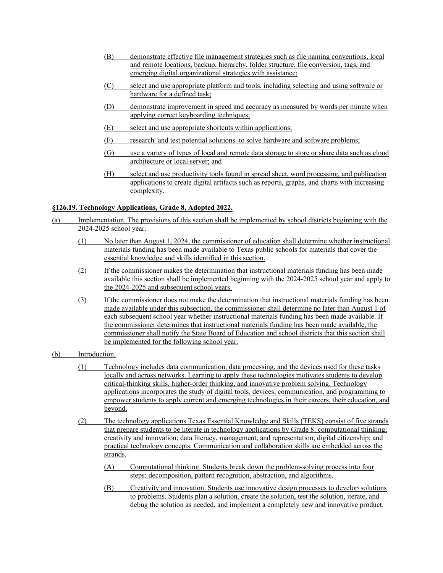- (B) demonstrate effective file management strategies such as file naming conventions, local and remote locations, backup, hierarchy, folder structure, file conversion, tags, and emerging digital organizational strategies with assistance;
- (C) select and use appropriate platform and tools, including selecting and using software or hardware for a defined task;
- (D) demonstrate improvement in speed and accuracy as measured by words per minute when applying correct keyboarding techniques;
- (E) select and use appropriate shortcuts within applications;
- (F) research and test potential solutions to solve hardware and software problems;
- (G) use a variety of types of local and remote data storage to store or share data such as cloud architecture or local server; and
- (H) select and use productivity tools found in spread sheet, word processing, and publication applications to create digital artifacts such as reports, graphs, and charts with increasing complexity.

### **§126.19. Technology Applications, Grade 8, Adopted 2022.**

- (a) Implementation. The provisions of this section shall be implemented by school districts beginning with the 2024-2025 school year.
	- (1) No later than August 1, 2024, the commissioner of education shall determine whether instructional materials funding has been made available to Texas public schools for materials that cover the essential knowledge and skills identified in this section.
	- (2) If the commissioner makes the determination that instructional materials funding has been made available this section shall be implemented beginning with the 2024-2025 school year and apply to the 2024-2025 and subsequent school years.
	- (3) If the commissioner does not make the determination that instructional materials funding has been made available under this subsection, the commissioner shall determine no later than August 1 of each subsequent school year whether instructional materials funding has been made available. If the commissioner determines that instructional materials funding has been made available, the commissioner shall notify the State Board of Education and school districts that this section shall be implemented for the following school year.
- (b) Introduction.
	- (1) Technology includes data communication, data processing, and the devices used for these tasks locally and across networks. Learning to apply these technologies motivates students to develop critical-thinking skills, higher-order thinking, and innovative problem solving. Technology applications incorporates the study of digital tools, devices, communication, and programming to empower students to apply current and emerging technologies in their careers, their education, and beyond.
	- (2) The technology applications Texas Essential Knowledge and Skills (TEKS) consist of five strands that prepare students to be literate in technology applications by Grade 8: computational thinking; creativity and innovation; data literacy, management, and representation; digital citizenship; and practical technology concepts. Communication and collaboration skills are embedded across the strands.
		- (A) Computational thinking. Students break down the problem-solving process into four steps: decomposition, pattern recognition, abstraction, and algorithms.
		- (B) Creativity and innovation. Students use innovative design processes to develop solutions to problems. Students plan a solution, create the solution, test the solution, iterate, and debug the solution as needed, and implement a completely new and innovative product.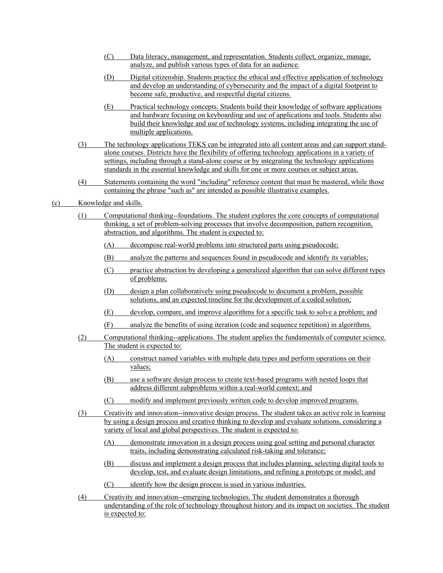- (C) Data literacy, management, and representation. Students collect, organize, manage, analyze, and publish various types of data for an audience.
- (D) Digital citizenship. Students practice the ethical and effective application of technology and develop an understanding of cybersecurity and the impact of a digital footprint to become safe, productive, and respectful digital citizens.
- (E) Practical technology concepts. Students build their knowledge of software applications and hardware focusing on keyboarding and use of applications and tools. Students also build their knowledge and use of technology systems, including integrating the use of multiple applications.
- (3) The technology applications TEKS can be integrated into all content areas and can support standalone courses. Districts have the flexibility of offering technology applications in a variety of settings, including through a stand-alone course or by integrating the technology applications standards in the essential knowledge and skills for one or more courses or subject areas.
- (4) Statements containing the word "including" reference content that must be mastered, while those containing the phrase "such as" are intended as possible illustrative examples.
- (c) Knowledge and skills.
	- (1) Computational thinking--foundations. The student explores the core concepts of computational thinking, a set of problem-solving processes that involve decomposition, pattern recognition, abstraction, and algorithms. The student is expected to:
		- (A) decompose real-world problems into structured parts using pseudocode;
		- (B) analyze the patterns and sequences found in pseudocode and identify its variables;
		- (C) practice abstraction by developing a generalized algorithm that can solve different types of problems;
		- (D) design a plan collaboratively using pseudocode to document a problem, possible solutions, and an expected timeline for the development of a coded solution;
		- (E) develop, compare, and improve algorithms for a specific task to solve a problem; and
		- (F) analyze the benefits of using iteration (code and sequence repetition) in algorithms.
	- (2) Computational thinking--applications. The student applies the fundamentals of computer science. The student is expected to:
		- (A) construct named variables with multiple data types and perform operations on their values;
		- (B) use a software design process to create text-based programs with nested loops that address different subproblems within a real-world context; and
		- (C) modify and implement previously written code to develop improved programs.
	- (3) Creativity and innovation--innovative design process. The student takes an active role in learning by using a design process and creative thinking to develop and evaluate solutions, considering a variety of local and global perspectives. The student is expected to:
		- (A) demonstrate innovation in a design process using goal setting and personal character traits, including demonstrating calculated risk-taking and tolerance;
		- (B) discuss and implement a design process that includes planning, selecting digital tools to develop, test, and evaluate design limitations, and refining a prototype or model; and
		- (C) identify how the design process is used in various industries.
	- (4) Creativity and innovation--emerging technologies. The student demonstrates a thorough understanding of the role of technology throughout history and its impact on societies. The student is expected to: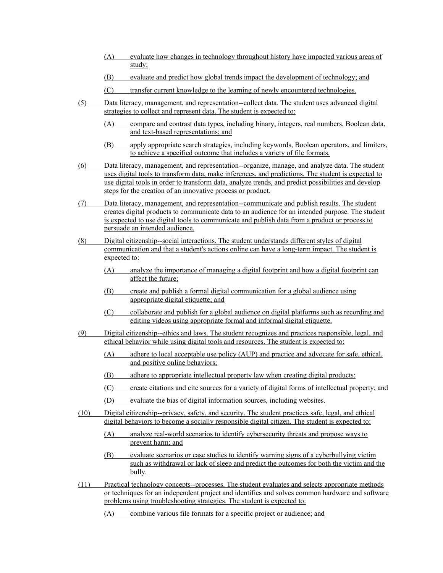- (A) evaluate how changes in technology throughout history have impacted various areas of study;
- (B) evaluate and predict how global trends impact the development of technology; and
- (C) transfer current knowledge to the learning of newly encountered technologies.
- (5) Data literacy, management, and representation--collect data. The student uses advanced digital strategies to collect and represent data. The student is expected to:
	- (A) compare and contrast data types, including binary, integers, real numbers, Boolean data, and text-based representations; and
	- (B) apply appropriate search strategies, including keywords, Boolean operators, and limiters, to achieve a specified outcome that includes a variety of file formats.
- (6) Data literacy, management, and representation--organize, manage, and analyze data. The student uses digital tools to transform data, make inferences, and predictions. The student is expected to use digital tools in order to transform data, analyze trends, and predict possibilities and develop steps for the creation of an innovative process or product.
- (7) Data literacy, management, and representation--communicate and publish results. The student creates digital products to communicate data to an audience for an intended purpose. The student is expected to use digital tools to communicate and publish data from a product or process to persuade an intended audience.
- (8) Digital citizenship--social interactions. The student understands different styles of digital communication and that a student's actions online can have a long-term impact. The student is expected to:
	- (A) analyze the importance of managing a digital footprint and how a digital footprint can affect the future;
	- (B) create and publish a formal digital communication for a global audience using appropriate digital etiquette; and
	- (C) collaborate and publish for a global audience on digital platforms such as recording and editing videos using appropriate formal and informal digital etiquette.
- (9) Digital citizenship--ethics and laws. The student recognizes and practices responsible, legal, and ethical behavior while using digital tools and resources. The student is expected to:
	- (A) adhere to local acceptable use policy (AUP) and practice and advocate for safe, ethical, and positive online behaviors;
	- (B) adhere to appropriate intellectual property law when creating digital products;
	- (C) create citations and cite sources for a variety of digital forms of intellectual property; and
	- (D) evaluate the bias of digital information sources, including websites.
- (10) Digital citizenship--privacy, safety, and security. The student practices safe, legal, and ethical digital behaviors to become a socially responsible digital citizen. The student is expected to:
	- (A) analyze real-world scenarios to identify cybersecurity threats and propose ways to prevent harm; and
	- (B) evaluate scenarios or case studies to identify warning signs of a cyberbullying victim such as withdrawal or lack of sleep and predict the outcomes for both the victim and the bully.
- (11) Practical technology concepts--processes. The student evaluates and selects appropriate methods or techniques for an independent project and identifies and solves common hardware and software problems using troubleshooting strategies. The student is expected to:
	- (A) combine various file formats for a specific project or audience; and